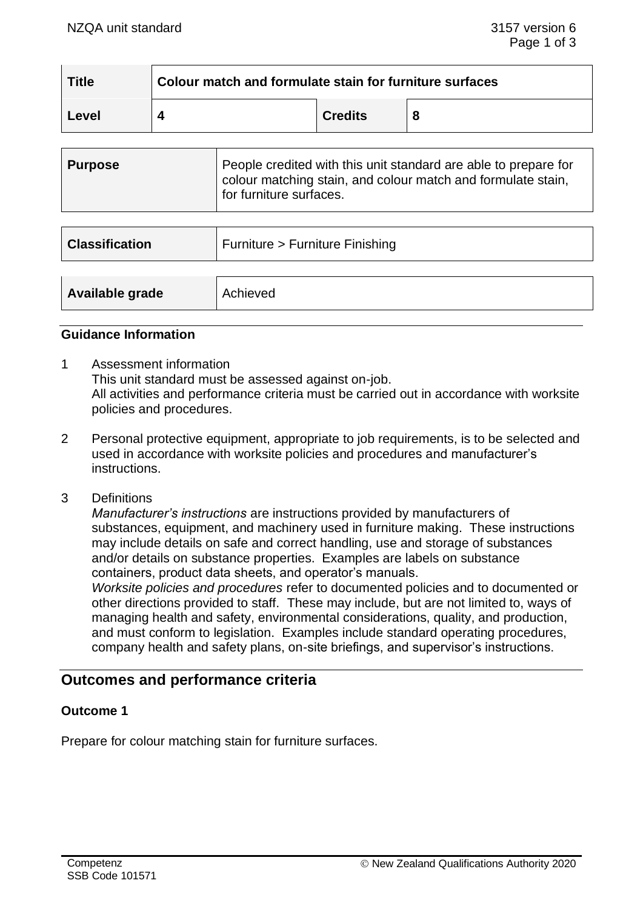| <b>Title</b> | Colour match and formulate stain for furniture surfaces |                |   |  |
|--------------|---------------------------------------------------------|----------------|---|--|
| Level        |                                                         | <b>Credits</b> | 8 |  |

| Purpose | People credited with this unit standard are able to prepare for<br>colour matching stain, and colour match and formulate stain,<br>for furniture surfaces. |
|---------|------------------------------------------------------------------------------------------------------------------------------------------------------------|
|         |                                                                                                                                                            |

| <b>Classification</b> | Furniture > Furniture Finishing |
|-----------------------|---------------------------------|
| Available grade       | Achieved                        |

#### **Guidance Information**

- 1 Assessment information This unit standard must be assessed against on-job. All activities and performance criteria must be carried out in accordance with worksite policies and procedures.
- 2 Personal protective equipment, appropriate to job requirements, is to be selected and used in accordance with worksite policies and procedures and manufacturer's instructions.
- 3 Definitions

*Manufacturer's instructions* are instructions provided by manufacturers of substances, equipment, and machinery used in furniture making. These instructions may include details on safe and correct handling, use and storage of substances and/or details on substance properties. Examples are labels on substance containers, product data sheets, and operator's manuals.

*Worksite policies and procedures* refer to documented policies and to documented or other directions provided to staff. These may include, but are not limited to, ways of managing health and safety, environmental considerations, quality, and production, and must conform to legislation. Examples include standard operating procedures, company health and safety plans, on-site briefings, and supervisor's instructions.

# **Outcomes and performance criteria**

## **Outcome 1**

Prepare for colour matching stain for furniture surfaces.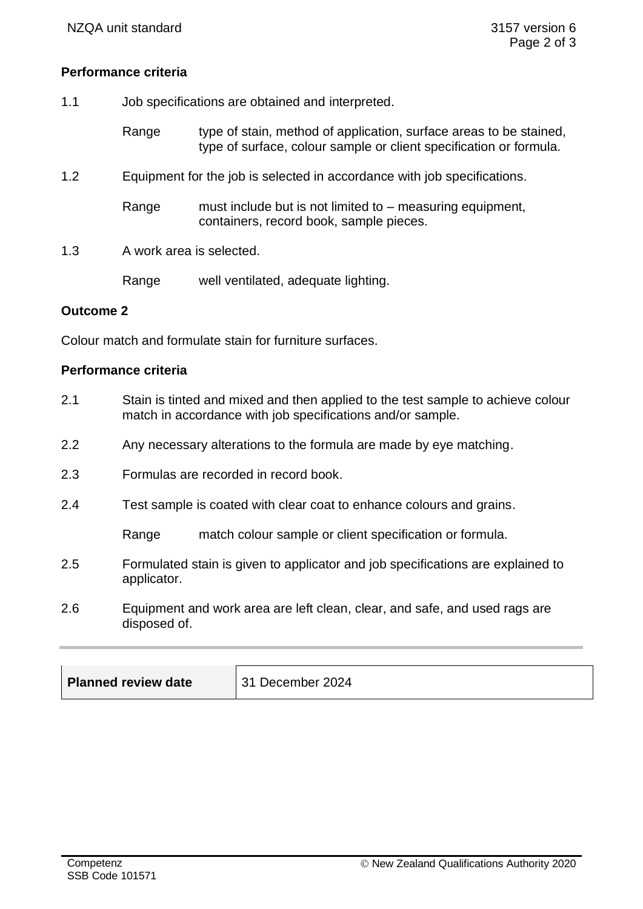## **Performance criteria**

- 1.1 Job specifications are obtained and interpreted.
	- Range type of stain, method of application, surface areas to be stained, type of surface, colour sample or client specification or formula.
- 1.2 Equipment for the job is selected in accordance with job specifications.
	- Range must include but is not limited to measuring equipment, containers, record book, sample pieces.
- 1.3 A work area is selected.

Range well ventilated, adequate lighting.

### **Outcome 2**

Colour match and formulate stain for furniture surfaces.

### **Performance criteria**

- 2.1 Stain is tinted and mixed and then applied to the test sample to achieve colour match in accordance with job specifications and/or sample.
- 2.2 Any necessary alterations to the formula are made by eye matching.
- 2.3 Formulas are recorded in record book.
- 2.4 Test sample is coated with clear coat to enhance colours and grains.

Range match colour sample or client specification or formula.

- 2.5 Formulated stain is given to applicator and job specifications are explained to applicator.
- 2.6 Equipment and work area are left clean, clear, and safe, and used rags are disposed of.

| <b>Planned review date</b> | 31 December 2024 |
|----------------------------|------------------|
|----------------------------|------------------|